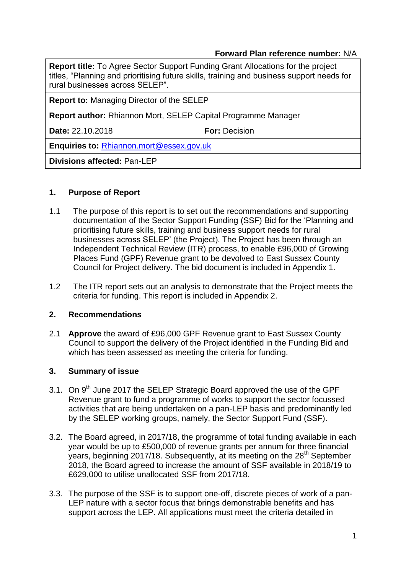### **Forward Plan reference number:** N/A

| <b>Report title:</b> To Agree Sector Support Funding Grant Allocations for the project<br>titles, "Planning and prioritising future skills, training and business support needs for<br>rural businesses across SELEP". |                      |  |  |
|------------------------------------------------------------------------------------------------------------------------------------------------------------------------------------------------------------------------|----------------------|--|--|
| <b>Report to: Managing Director of the SELEP</b>                                                                                                                                                                       |                      |  |  |
| Report author: Rhiannon Mort, SELEP Capital Programme Manager                                                                                                                                                          |                      |  |  |
| Date: 22.10.2018                                                                                                                                                                                                       | <b>For: Decision</b> |  |  |
| <b>Enquiries to: Rhiannon.mort@essex.gov.uk</b>                                                                                                                                                                        |                      |  |  |
| <b>Divisions affected: Pan-LEP</b>                                                                                                                                                                                     |                      |  |  |

### **1. Purpose of Report**

- 1.1 The purpose of this report is to set out the recommendations and supporting documentation of the Sector Support Funding (SSF) Bid for the 'Planning and prioritising future skills, training and business support needs for rural businesses across SELEP' (the Project). The Project has been through an Independent Technical Review (ITR) process, to enable £96,000 of Growing Places Fund (GPF) Revenue grant to be devolved to East Sussex County Council for Project delivery. The bid document is included in Appendix 1.
- 1.2 The ITR report sets out an analysis to demonstrate that the Project meets the criteria for funding. This report is included in Appendix 2.

#### **2. Recommendations**

2.1 **Approve** the award of £96,000 GPF Revenue grant to East Sussex County Council to support the delivery of the Project identified in the Funding Bid and which has been assessed as meeting the criteria for funding.

## **3. Summary of issue**

- 3.1. On 9<sup>th</sup> June 2017 the SELEP Strategic Board approved the use of the GPF Revenue grant to fund a programme of works to support the sector focussed activities that are being undertaken on a pan-LEP basis and predominantly led by the SELEP working groups, namely, the Sector Support Fund (SSF).
- 3.2. The Board agreed, in 2017/18, the programme of total funding available in each year would be up to £500,000 of revenue grants per annum for three financial years, beginning 2017/18. Subsequently, at its meeting on the 28<sup>th</sup> September 2018, the Board agreed to increase the amount of SSF available in 2018/19 to £629,000 to utilise unallocated SSF from 2017/18.
- 3.3. The purpose of the SSF is to support one-off, discrete pieces of work of a pan-LEP nature with a sector focus that brings demonstrable benefits and has support across the LEP. All applications must meet the criteria detailed in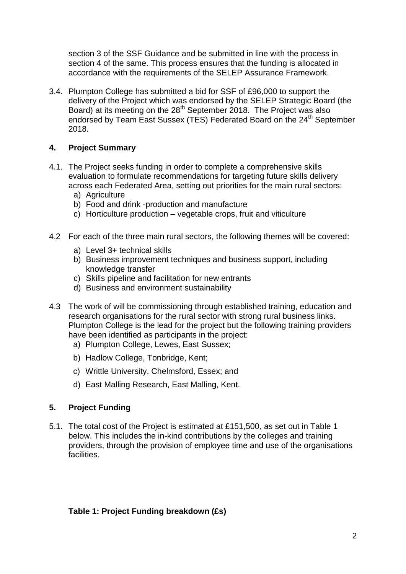section 3 of the SSF Guidance and be submitted in line with the process in section 4 of the same. This process ensures that the funding is allocated in accordance with the requirements of the SELEP Assurance Framework.

3.4. Plumpton College has submitted a bid for SSF of £96,000 to support the delivery of the Project which was endorsed by the SELEP Strategic Board (the Board) at its meeting on the 28<sup>th</sup> September 2018. The Project was also endorsed by Team East Sussex (TES) Federated Board on the 24<sup>th</sup> September 2018.

# **4. Project Summary**

- 4.1. The Project seeks funding in order to complete a comprehensive skills evaluation to formulate recommendations for targeting future skills delivery across each Federated Area, setting out priorities for the main rural sectors:
	- a) Agriculture
	- b) Food and drink -production and manufacture
	- c) Horticulture production vegetable crops, fruit and viticulture
- 4.2 For each of the three main rural sectors, the following themes will be covered:
	- a) Level 3+ technical skills
	- b) Business improvement techniques and business support, including knowledge transfer
	- c) Skills pipeline and facilitation for new entrants
	- d) Business and environment sustainability
- 4.3 The work of will be commissioning through established training, education and research organisations for the rural sector with strong rural business links. Plumpton College is the lead for the project but the following training providers have been identified as participants in the project:
	- a) Plumpton College, Lewes, East Sussex;
	- b) Hadlow College, Tonbridge, Kent;
	- c) Writtle University, Chelmsford, Essex; and
	- d) East Malling Research, East Malling, Kent.

## **5. Project Funding**

5.1. The total cost of the Project is estimated at £151,500, as set out in Table 1 below. This includes the in-kind contributions by the colleges and training providers, through the provision of employee time and use of the organisations facilities.

## **Table 1: Project Funding breakdown (£s)**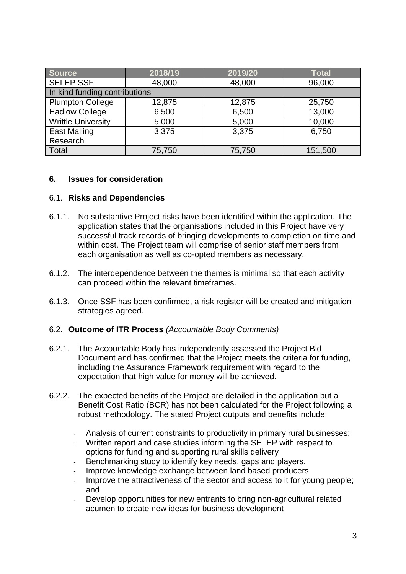| <b>Source</b>                 | 2018/19 | 2019/20 | <b>Total</b> |  |  |  |
|-------------------------------|---------|---------|--------------|--|--|--|
| <b>SELEP SSF</b>              | 48,000  | 48,000  | 96,000       |  |  |  |
| In kind funding contributions |         |         |              |  |  |  |
| <b>Plumpton College</b>       | 12,875  | 12,875  | 25,750       |  |  |  |
| <b>Hadlow College</b>         | 6,500   | 6,500   | 13,000       |  |  |  |
| <b>Writtle University</b>     | 5,000   | 5,000   | 10,000       |  |  |  |
| <b>East Malling</b>           | 3,375   | 3,375   | 6,750        |  |  |  |
| Research                      |         |         |              |  |  |  |
| Total                         | 75,750  | 75,750  | 151,500      |  |  |  |

### **6. Issues for consideration**

#### 6.1. **Risks and Dependencies**

- 6.1.1. No substantive Project risks have been identified within the application. The application states that the organisations included in this Project have very successful track records of bringing developments to completion on time and within cost. The Project team will comprise of senior staff members from each organisation as well as co-opted members as necessary.
- 6.1.2. The interdependence between the themes is minimal so that each activity can proceed within the relevant timeframes.
- 6.1.3. Once SSF has been confirmed, a risk register will be created and mitigation strategies agreed.

#### 6.2. **Outcome of ITR Process** *(Accountable Body Comments)*

- 6.2.1. The Accountable Body has independently assessed the Project Bid Document and has confirmed that the Project meets the criteria for funding, including the Assurance Framework requirement with regard to the expectation that high value for money will be achieved.
- 6.2.2. The expected benefits of the Project are detailed in the application but a Benefit Cost Ratio (BCR) has not been calculated for the Project following a robust methodology. The stated Project outputs and benefits include:
	- Analysis of current constraints to productivity in primary rural businesses;
	- Written report and case studies informing the SELEP with respect to options for funding and supporting rural skills delivery
	- Benchmarking study to identify key needs, gaps and players.
	- Improve knowledge exchange between land based producers
	- Improve the attractiveness of the sector and access to it for young people; and
	- Develop opportunities for new entrants to bring non-agricultural related acumen to create new ideas for business development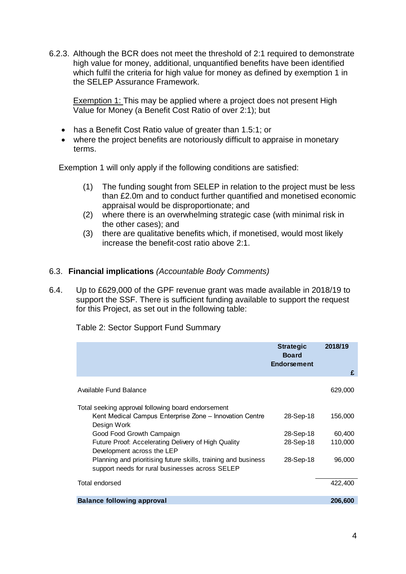6.2.3. Although the BCR does not meet the threshold of 2:1 required to demonstrate high value for money, additional, unquantified benefits have been identified which fulfil the criteria for high value for money as defined by exemption 1 in the SELEP Assurance Framework.

Exemption 1: This may be applied where a project does not present High Value for Money (a Benefit Cost Ratio of over 2:1); but

- has a Benefit Cost Ratio value of greater than 1.5:1; or
- where the project benefits are notoriously difficult to appraise in monetary terms.

Exemption 1 will only apply if the following conditions are satisfied:

- (1) The funding sought from SELEP in relation to the project must be less than £2.0m and to conduct further quantified and monetised economic appraisal would be disproportionate; and
- (2) where there is an overwhelming strategic case (with minimal risk in the other cases); and
- (3) there are qualitative benefits which, if monetised, would most likely increase the benefit-cost ratio above 2:1.

### 6.3. **Financial implications** *(Accountable Body Comments)*

6.4. Up to £629,000 of the GPF revenue grant was made available in 2018/19 to support the SSF. There is sufficient funding available to support the request for this Project, as set out in the following table:

|                                                                                                                   | <b>Strategic</b><br><b>Board</b><br><b>Endorsement</b> | 2018/19 |
|-------------------------------------------------------------------------------------------------------------------|--------------------------------------------------------|---------|
|                                                                                                                   |                                                        | £       |
| Available Fund Balance                                                                                            |                                                        | 629,000 |
| Total seeking approval following board endorsement                                                                |                                                        |         |
| Kent Medical Campus Enterprise Zone – Innovation Centre<br>Design Work                                            | 28-Sep-18                                              | 156,000 |
| Good Food Growth Campaign                                                                                         | 28-Sep-18                                              | 60,400  |
| Future Proof: Accelerating Delivery of High Quality<br>Development across the LEP                                 | 28-Sep-18                                              | 110,000 |
| Planning and prioritising future skills, training and business<br>support needs for rural businesses across SELEP | 28-Sep-18                                              | 96,000  |
| Total endorsed                                                                                                    |                                                        | 422,400 |
| <b>Balance following approval</b>                                                                                 |                                                        | 206,600 |

Table 2: Sector Support Fund Summary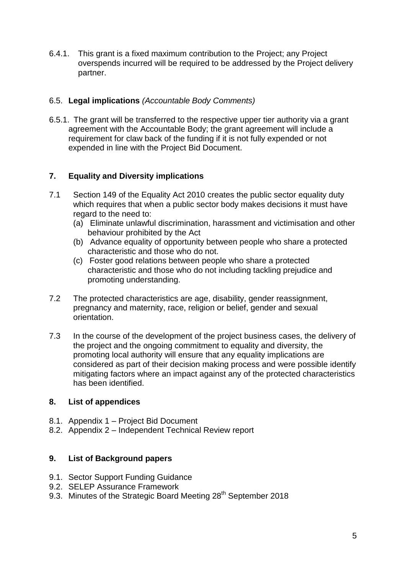6.4.1. This grant is a fixed maximum contribution to the Project; any Project overspends incurred will be required to be addressed by the Project delivery partner.

### 6.5. **Legal implications** *(Accountable Body Comments)*

6.5.1. The grant will be transferred to the respective upper tier authority via a grant agreement with the Accountable Body; the grant agreement will include a requirement for claw back of the funding if it is not fully expended or not expended in line with the Project Bid Document.

## **7. Equality and Diversity implications**

- 7.1 Section 149 of the Equality Act 2010 creates the public sector equality duty which requires that when a public sector body makes decisions it must have regard to the need to:
	- (a) Eliminate unlawful discrimination, harassment and victimisation and other behaviour prohibited by the Act
	- (b) Advance equality of opportunity between people who share a protected characteristic and those who do not.
	- (c) Foster good relations between people who share a protected characteristic and those who do not including tackling prejudice and promoting understanding.
- 7.2 The protected characteristics are age, disability, gender reassignment, pregnancy and maternity, race, religion or belief, gender and sexual orientation.
- 7.3 In the course of the development of the project business cases, the delivery of the project and the ongoing commitment to equality and diversity, the promoting local authority will ensure that any equality implications are considered as part of their decision making process and were possible identify mitigating factors where an impact against any of the protected characteristics has been identified.

## **8. List of appendices**

- 8.1. Appendix 1 Project Bid Document
- 8.2. Appendix 2 Independent Technical Review report

## **9. List of Background papers**

- 9.1. Sector Support Funding Guidance
- 9.2. SELEP Assurance Framework
- 9.3. Minutes of the Strategic Board Meeting 28<sup>th</sup> September 2018